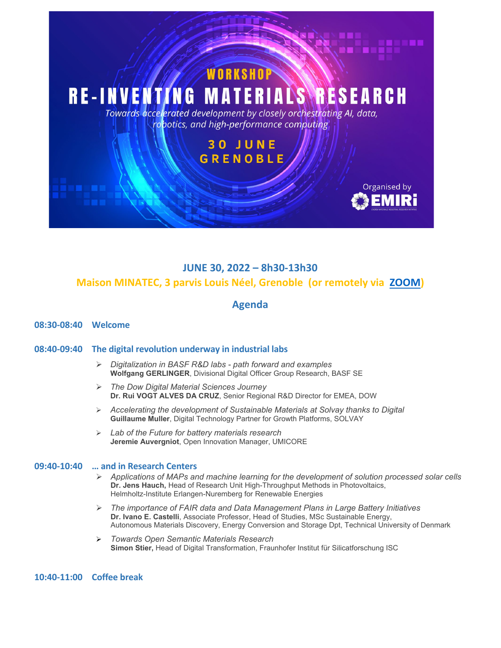

# **JUNE 30, 2022 – 8h30-13h30**

## **Maison MINATEC, 3 parvis Louis Néel, Grenoble (or remotely via [ZOOM\)](https://us06web.zoom.us/j/84528146459)**

## **Agenda**

## **08:30-08:40 Welcome**

### **08:40-09:40 The digital revolution underway in industrial labs**

- *Digitalization in BASF R&D labs - path forward and examples*  **Wolfgang GERLINGER**, Divisional Digital Officer Group Research, BASF SE
- *The Dow Digital Material Sciences Journey* **Dr. Rui VOGT ALVES DA CRUZ**, Senior Regional R&D Director for EMEA, DOW
- *Accelerating the development of Sustainable Materials at Solvay thanks to Digital* **Guillaume Muller**, Digital Technology Partner for Growth Platforms, SOLVAY
- *Lab of the Future for battery materials research* **Jeremie Auvergniot**, Open Innovation Manager, UMICORE

#### **09:40-10:40 … and in Research Centers**

- *Applications of MAPs and machine learning for the development of solution processed solar cells*  **Dr. Jens Hauch,** Head of Research Unit High-Throughput Methods in Photovoltaics, Helmholtz-Institute Erlangen-Nuremberg for Renewable Energies
- *The importance of FAIR data and Data Management Plans in Large Battery Initiatives* **Dr. Ivano E. Castelli**, Associate Professor, Head of Studies, MSc Sustainable Energy, Autonomous Materials Discovery, Energy Conversion and Storage Dpt, Technical University of Denmark
- *Towards Open Semantic Materials Research* **Simon Stier,** Head of Digital Transformation, Fraunhofer Institut für Silicatforschung ISC

## **10:40-11:00 Coffee break**